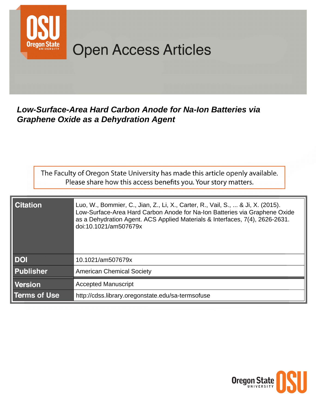

# **Open Access Articles**

### Low-Surface-Area Hard Carbon Anode for Na-Ion Batteries via **Graphene Oxide as a Dehydration Agent**

The Faculty of Oregon State University has made this article openly available. Please share how this access benefits you. Your story matters.

| <b>Citation</b>  | Luo, W., Bommier, C., Jian, Z., Li, X., Carter, R., Vail, S.,  & Ji, X. (2015).<br>Low-Surface-Area Hard Carbon Anode for Na-Ion Batteries via Graphene Oxide<br>as a Dehydration Agent. ACS Applied Materials & Interfaces, 7(4), 2626-2631.<br>doi:10.1021/am507679x |  |  |  |
|------------------|------------------------------------------------------------------------------------------------------------------------------------------------------------------------------------------------------------------------------------------------------------------------|--|--|--|
| <b>DOI</b>       | 10.1021/am507679x                                                                                                                                                                                                                                                      |  |  |  |
| <b>Publisher</b> | <b>American Chemical Society</b>                                                                                                                                                                                                                                       |  |  |  |
| <b>Version</b>   | <b>Accepted Manuscript</b>                                                                                                                                                                                                                                             |  |  |  |
| Terms of Use     | http://cdss.library.oregonstate.edu/sa-termsofuse                                                                                                                                                                                                                      |  |  |  |

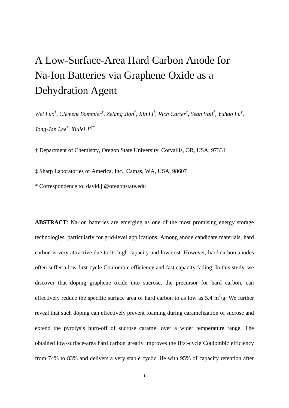## A Low-Surface-Area Hard Carbon Anode for Na-Ion Batteries via Graphene Oxide as a Dehydration Agent

*Wei Luo† , Clement Bommier† , Zelang Jian† , Xin Li† , Rich Carter† , Sean Vail‡ , Yuhao Lu‡ , Jong-Jan Lee‡ , Xiulei Ji†\**

† Department of Chemistry, Oregon State University, Corvallis, OR, USA, 97331

‡ Sharp Laboratories of America, Inc., Camas, WA, USA, 98607

\* Correspondence to: david.ji@oregonstate.edu

**ABSTRACT**: Na-ion batteries are emerging as one of the most promising energy storage technologies, particularly for grid-level applications. Among anode candidate materials, hard carbon is very attractive due to its high capacity and low cost. However, hard carbon anodes often suffer a low first-cycle Coulombic efficiency and fast capacity fading. In this study, we discover that doping graphene oxide into sucrose, the precursor for hard carbon, can effectively reduce the specific surface area of hard carbon to as low as  $5.4 \text{ m}^2/\text{g}$ . We further reveal that such doping can effectively prevent foaming during caramelization of sucrose and extend the pyrolysis burn-off of sucrose caramel over a wider temperature range. The obtained low-surface-area hard carbon greatly improves the first-cycle Coulombic efficiency from 74% to 83% and delivers a very stable cyclic life with 95% of capacity retention after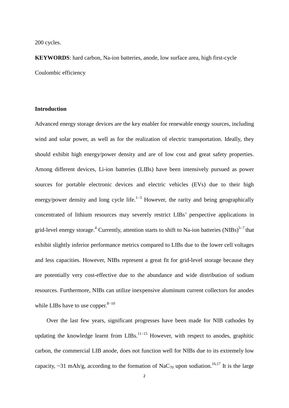#### 200 cycles.

**KEYWORDS**: hard carbon, Na-ion batteries, anode, low surface area, high first-cycle Coulombic efficiency

#### **Introduction**

Advanced energy storage devices are the key enabler for renewable energy sources, including wind and solar power, as well as for the realization of electric transportation. Ideally, they should exhibit high energy/power density and are of low cost and great safety properties. Among different devices, Li-ion batteries (LIBs) have been intensively pursued as power sources for portable electronic devices and electric vehicles (EVs) due to their high energy/power density and long cycle life.<sup>1−3</sup> However, the rarity and being geographically concentrated of lithium resources may severely restrict LIBs' perspective applications in grid-level energy storage.<sup>4</sup> Currently, attention starts to shift to Na-ion batteries (NIBs)<sup>5−7</sup> that exhibit slightly inferior performance metrics compared to LIBs due to the lower cell voltages and less capacities. However, NIBs represent a great fit for grid-level storage because they are potentially very cost-effective due to the abundance and wide distribution of sodium resources. Furthermore, NIBs can utilize inexpensive aluminum current collectors for anodes while LIBs have to use copper. $8-10$ 

Over the last few years, significant progresses have been made for NIB cathodes by updating the knowledge learnt from LIBs.<sup>11–15</sup> However, with respect to anodes, graphitic carbon, the commercial LIB anode, does not function well for NIBs due to its extremely low capacity, ~31 mAh/g, according to the formation of NaC<sub>70</sub> upon sodiation.<sup>16,17</sup> It is the large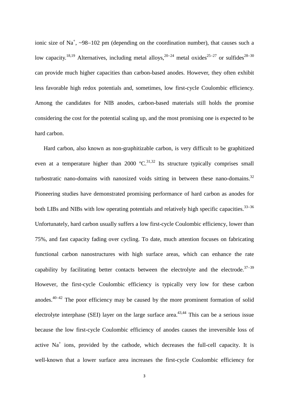ionic size of Na<sup>+</sup>, ~98–102 pm (depending on the coordination number), that causes such a low capacity.<sup>18,19</sup> Alternatives, including metal alloys,<sup>20−24</sup> metal oxides<sup>25−27</sup> or sulfides<sup>28−30</sup> can provide much higher capacities than carbon-based anodes. However, they often exhibit less favorable high redox potentials and, sometimes, low first-cycle Coulombic efficiency. Among the candidates for NIB anodes, carbon-based materials still holds the promise considering the cost for the potential scaling up, and the most promising one is expected to be hard carbon.

Hard carbon, also known as non-graphitizable carbon, is very difficult to be graphitized even at a temperature higher than 2000  $\mathrm{C}^{31,32}$  Its structure typically comprises small turbostratic nano-domains with nanosized voids sitting in between these nano-domains.<sup>32</sup> Pioneering studies have demonstrated promising performance of hard carbon as anodes for both LIBs and NIBs with low operating potentials and relatively high specific capacities.<sup>33–36</sup> Unfortunately, hard carbon usually suffers a low first-cycle Coulombic efficiency, lower than 75%, and fast capacity fading over cycling. To date, much attention focuses on fabricating functional carbon nanostructures with high surface areas, which can enhance the rate capability by facilitating better contacts between the electrolyte and the electrode.<sup>37–39</sup> However, the first-cycle Coulombic efficiency is typically very low for these carbon anodes.40<sup>−</sup><sup>42</sup> The poor efficiency may be caused by the more prominent formation of solid electrolyte interphase (SEI) layer on the large surface area.<sup>43,44</sup> This can be a serious issue because the low first-cycle Coulombic efficiency of anodes causes the irreversible loss of active  $Na<sup>+</sup>$  ions, provided by the cathode, which decreases the full-cell capacity. It is well-known that a lower surface area increases the first-cycle Coulombic efficiency for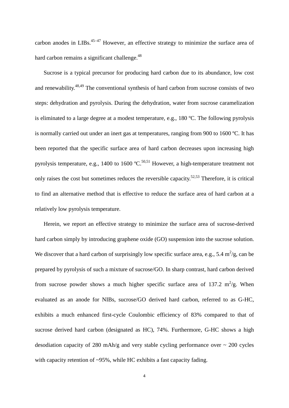carbon anodes in LIBs.<sup>45−47</sup> However, an effective strategy to minimize the surface area of hard carbon remains a significant challenge.<sup>48</sup>

Sucrose is a typical precursor for producing hard carbon due to its abundance, low cost and renewability.<sup>48,49</sup> The conventional synthesis of hard carbon from sucrose consists of two steps: dehydration and pyrolysis. During the dehydration, water from sucrose caramelization is eliminated to a large degree at a modest temperature, e.g., 180 ºC. The following pyrolysis is normally carried out under an inert gas at temperatures, ranging from 900 to 1600 ºC. It has been reported that the specific surface area of hard carbon decreases upon increasing high pyrolysis temperature, e.g., 1400 to 1600  $^{\circ}C$ .<sup>50,51</sup> However, a high-temperature treatment not only raises the cost but sometimes reduces the reversible capacity.<sup>52,53</sup> Therefore, it is critical to find an alternative method that is effective to reduce the surface area of hard carbon at a relatively low pyrolysis temperature.

 Herein, we report an effective strategy to minimize the surface area of sucrose-derived hard carbon simply by introducing graphene oxide (GO) suspension into the sucrose solution. We discover that a hard carbon of surprisingly low specific surface area, e.g., 5.4  $\text{m}^2/\text{g}$ , can be prepared by pyrolysis of such a mixture of sucrose/GO. In sharp contrast, hard carbon derived from sucrose powder shows a much higher specific surface area of 137.2  $m^2/g$ . When evaluated as an anode for NIBs, sucrose/GO derived hard carbon, referred to as G-HC, exhibits a much enhanced first-cycle Coulombic efficiency of 83% compared to that of sucrose derived hard carbon (designated as HC), 74%. Furthermore, G-HC shows a high desodiation capacity of 280 mAh/g and very stable cycling performance over  $\sim 200$  cycles with capacity retention of ~95%, while HC exhibits a fast capacity fading.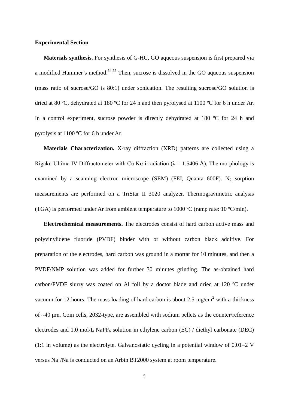#### **Experimental Section**

**Materials synthesis.** For synthesis of G-HC, GO aqueous suspension is first prepared via a modified Hummer's method.54,55 Then, sucrose is dissolved in the GO aqueous suspension (mass ratio of sucrose/GO is 80:1) under sonication. The resulting sucrose/GO solution is dried at 80 °C, dehydrated at 180 °C for 24 h and then pyrolysed at 1100 °C for 6 h under Ar. In a control experiment, sucrose powder is directly dehydrated at 180 °C for 24 h and pyrolysis at 1100 ºC for 6 h under Ar.

**Materials Characterization.** X-ray diffraction (XRD) patterns are collected using a Rigaku Ultima IV Diffractometer with Cu Kα irradiation ( $\lambda = 1.5406$  Å). The morphology is examined by a scanning electron microscope (SEM) (FEI, Quanta 600F). N<sub>2</sub> sorption measurements are performed on a TriStar II 3020 analyzer. Thermogravimetric analysis (TGA) is performed under Ar from ambient temperature to 1000  $^{\circ}C$  (ramp rate: 10  $^{\circ}C/\text{min}$ ).

**Electrochemical measurements.** The electrodes consist of hard carbon active mass and polyvinylidene fluoride (PVDF) binder with or without carbon black additive. For preparation of the electrodes, hard carbon was ground in a mortar for 10 minutes, and then a PVDF/NMP solution was added for further 30 minutes grinding. The as-obtained hard carbon/PVDF slurry was coated on Al foil by a doctor blade and dried at 120 ºC under vacuum for 12 hours. The mass loading of hard carbon is about 2.5 mg/cm<sup>2</sup> with a thickness of ~40 μm. Coin cells, 2032-type, are assembled with sodium pellets as the counter/reference electrodes and 1.0 mol/L NaP $F_6$  solution in ethylene carbon (EC) / diethyl carbonate (DEC) (1:1 in volume) as the electrolyte. Galvanostatic cycling in a potential window of 0.01−2 V versus Na<sup>+</sup>/Na is conducted on an Arbin BT2000 system at room temperature.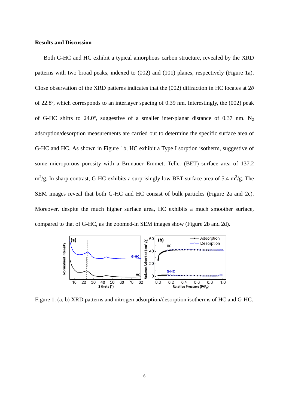#### **Results and Discussion**

Both G-HC and HC exhibit a typical amorphous carbon structure, revealed by the XRD patterns with two broad peaks, indexed to (002) and (101) planes, respectively (Figure 1a). Close observation of the XRD patterns indicates that the (002) diffraction in HC locates at 2*θ* of 22.8º, which corresponds to an interlayer spacing of 0.39 nm. Interestingly, the (002) peak of G-HC shifts to 24.0°, suggestive of a smaller inter-planar distance of 0.37 nm.  $N_2$ adsorption/desorption measurements are carried out to determine the specific surface area of G-HC and HC. As shown in Figure 1b, HC exhibit a Type I sorption isotherm, suggestive of some microporous porosity with a Brunauer–Emmett–Teller (BET) surface area of 137.2  $\rm m^2/g$ . In sharp contrast, G-HC exhibits a surprisingly low BET surface area of 5.4  $\rm m^2/g$ . The SEM images reveal that both G-HC and HC consist of bulk particles (Figure 2a and 2c). Moreover, despite the much higher surface area, HC exhibits a much smoother surface, compared to that of G-HC, as the zoomed-in SEM images show (Figure 2b and 2d).



Figure 1. (a, b) XRD patterns and nitrogen adsorption/desorption isotherms of HC and G-HC.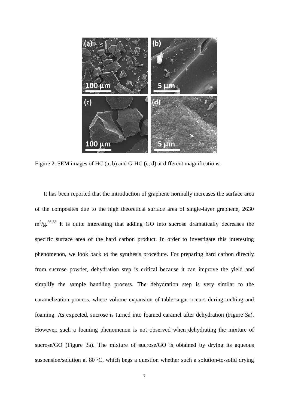

Figure 2. SEM images of HC (a, b) and G-HC (c, d) at different magnifications.

It has been reported that the introduction of graphene normally increases the surface area of the composites due to the high theoretical surface area of single-layer graphene, 2630  $m^2/g$ .<sup>56-58</sup> It is quite interesting that adding GO into sucrose dramatically decreases the specific surface area of the hard carbon product. In order to investigate this interesting phenomenon, we look back to the synthesis procedure. For preparing hard carbon directly from sucrose powder, dehydration step is critical because it can improve the yield and simplify the sample handling process. The dehydration step is very similar to the caramelization process, where volume expansion of table sugar occurs during melting and foaming. As expected, sucrose is turned into foamed caramel after dehydration (Figure 3a). However, such a foaming phenomenon is not observed when dehydrating the mixture of sucrose/GO (Figure 3a). The mixture of sucrose/GO is obtained by drying its aqueous suspension/solution at 80 ºC, which begs a question whether such a solution-to-solid drying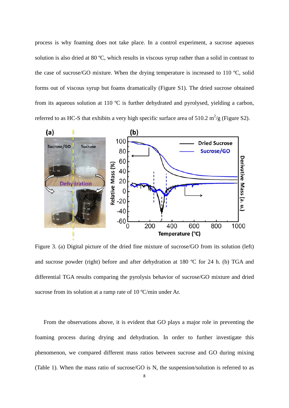process is why foaming does not take place. In a control experiment, a sucrose aqueous solution is also dried at 80 ºC, which results in viscous syrup rather than a solid in contrast to the case of sucrose/GO mixture. When the drying temperature is increased to 110 ºC, solid forms out of viscous syrup but foams dramatically (Figure S1). The dried sucrose obtained from its aqueous solution at 110 ºC is further dehydrated and pyrolysed, yielding a carbon, referred to as HC-S that exhibits a very high specific surface area of 510.2  $m^2/g$  (Figure S2).



Figure 3. (a) Digital picture of the dried fine mixture of sucrose/GO from its solution (left) and sucrose powder (right) before and after dehydration at 180 ºC for 24 h. (b) TGA and differential TGA results comparing the pyrolysis behavior of sucrose/GO mixture and dried sucrose from its solution at a ramp rate of 10 °C/min under Ar.

From the observations above, it is evident that GO plays a major role in preventing the foaming process during drying and dehydration. In order to further investigate this phenomenon, we compared different mass ratios between sucrose and GO during mixing (Table 1). When the mass ratio of sucrose/GO is N, the suspension/solution is referred to as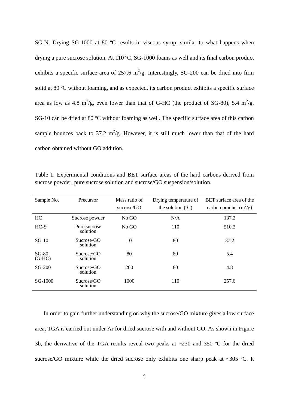SG-N. Drying SG-1000 at 80 ºC results in viscous syrup, similar to what happens when drying a pure sucrose solution. At 110 ºC, SG-1000 foams as well and its final carbon product exhibits a specific surface area of 257.6  $m^2/g$ . Interestingly, SG-200 can be dried into firm solid at 80 ºC without foaming, and as expected, its carbon product exhibits a specific surface area as low as 4.8 m<sup>2</sup>/g, even lower than that of G-HC (the product of SG-80), 5.4 m<sup>2</sup>/g. SG-10 can be dried at 80 ºC without foaming as well. The specific surface area of this carbon sample bounces back to 37.2  $m^2/g$ . However, it is still much lower than that of the hard carbon obtained without GO addition.

Table 1. Experimental conditions and BET surface areas of the hard carbons derived from sucrose powder, pure sucrose solution and sucrose/GO suspension/solution.

| Sample No.          | Precursor                | Mass ratio of<br>sucrose/GO | Drying temperature of<br>the solution $(^{\circ}C)$ | BET surface area of the<br>carbon product $(m^2/g)$ |
|---------------------|--------------------------|-----------------------------|-----------------------------------------------------|-----------------------------------------------------|
| HC                  | Sucrose powder           | No GO                       | N/A                                                 | 137.2                                               |
| $HC-S$              | Pure sucrose<br>solution | No GO                       | 110                                                 | 510.2                                               |
| $SG-10$             | Sucrose/GO<br>solution   | 10                          | 80                                                  | 37.2                                                |
| $SG-80$<br>$(G-HC)$ | Sucrose/GO<br>solution   | 80                          | 80                                                  | 5.4                                                 |
| SG-200              | Sucrose/GO<br>solution   | 200                         | 80                                                  | 4.8                                                 |
| SG-1000             | Sucrose/GO<br>solution   | 1000                        | 110                                                 | 257.6                                               |

In order to gain further understanding on why the sucrose/GO mixture gives a low surface area, TGA is carried out under Ar for dried sucrose with and without GO. As shown in Figure 3b, the derivative of the TGA results reveal two peaks at ~230 and 350 ºC for the dried sucrose/GO mixture while the dried sucrose only exhibits one sharp peak at  $\sim$ 305 °C. It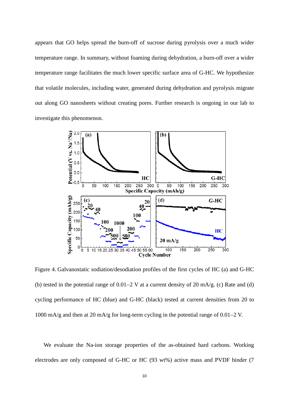appears that GO helps spread the burn-off of sucrose during pyrolysis over a much wider temperature range. In summary, without foaming during dehydration, a burn-off over a wider temperature range facilitates the much lower specific surface area of G-HC. We hypothesize that volatile molecules, including water, generated during dehydration and pyrolysis migrate out along GO nanosheets without creating pores. Further research is ongoing in our lab to investigate this phenomenon.



Figure 4. Galvanostatic sodiation/desodiation profiles of the first cycles of HC (a) and G-HC (b) tested in the potential range of 0.01−2 V at a current density of 20 mA/g. (c) Rate and (d) cycling performance of HC (blue) and G-HC (black) tested at current densities from 20 to 1000 mA/g and then at 20 mA/g for long-term cycling in the potential range of 0.01−2 V.

We evaluate the Na-ion storage properties of the as-obtained hard carbons. Working electrodes are only composed of G-HC or HC (93 wt%) active mass and PVDF binder (7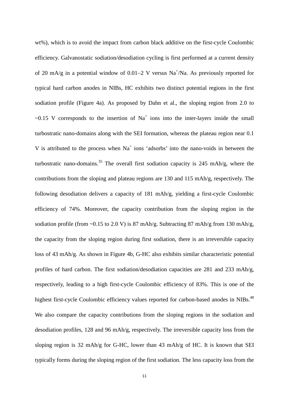wt%), which is to avoid the impact from carbon black additive on the first-cycle Coulombic efficiency. Galvanostatic sodiation/desodiation cycling is first performed at a current density of 20 mA/g in a potential window of 0.01–2 V versus Na<sup>+</sup>/Na. As previously reported for typical hard carbon anodes in NIBs, HC exhibits two distinct potential regions in the first sodiation profile (Figure 4a). As proposed by Dahn et al., the sloping region from 2.0 to  $\sim 0.15$  V corresponds to the insertion of Na<sup>+</sup> ions into the inter-layers inside the small turbostratic nano-domains along with the SEI formation, whereas the plateau region near 0.1 V is attributed to the process when  $Na<sup>+</sup>$  ions 'adsorbs' into the nano-voids in between the turbostratic nano-domains.<sup>35</sup> The overall first sodiation capacity is 245 mAh/g, where the contributions from the sloping and plateau regions are 130 and 115 mAh/g, respectively. The following desodiation delivers a capacity of 181 mAh/g, yielding a first-cycle Coulombic efficiency of 74%. Moreover, the capacity contribution from the sloping region in the sodiation profile (from ~0.15 to 2.0 V) is 87 mAh/g. Subtracting 87 mAh/g from 130 mAh/g, the capacity from the sloping region during first sodiation, there is an irreversible capacity loss of 43 mAh/g. As shown in Figure 4b, G-HC also exhibits similar characteristic potential profiles of hard carbon. The first sodiation/desodiation capacities are 281 and 233 mAh/g, respectively, leading to a high first-cycle Coulombic efficiency of 83%. This is one of the highest first-cycle Coulombic efficiency values reported for carbon-based anodes in NIBs.<sup>48</sup> We also compare the capacity contributions from the sloping regions in the sodiation and desodiation profiles, 128 and 96 mAh/g, respectively. The irreversible capacity loss from the sloping region is 32 mAh/g for G-HC, lower than 43 mAh/g of HC. It is known that SEI typically forms during the sloping region of the first sodiation. The less capacity loss from the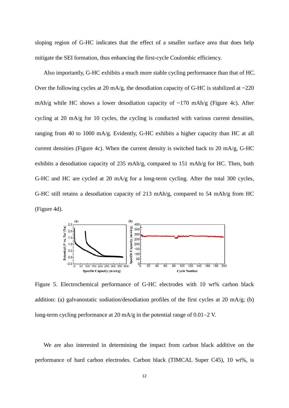sloping region of G-HC indicates that the effect of a smaller surface area that does help mitigate the SEI formation, thus enhancing the first-cycle Coulombic efficiency.

Also importantly, G-HC exhibits a much more stable cycling performance than that of HC. Over the following cycles at 20 mA/g, the desodiation capacity of G-HC is stabilized at  $\sim$ 220 mAh/g while HC shows a lower desodiation capacity of  $\sim$ 170 mAh/g (Figure 4c). After cycling at 20 mA/g for 10 cycles, the cycling is conducted with various current densities, ranging from 40 to 1000 mA/g. Evidently, G-HC exhibits a higher capacity than HC at all current densities (Figure 4c). When the current density is switched back to 20 mA/g, G-HC exhibits a desodiation capacity of 235 mAh/g, compared to 151 mAh/g for HC. Then, both G-HC and HC are cycled at 20 mA/g for a long-term cycling. After the total 300 cycles, G-HC still retains a desodiation capacity of 213 mAh/g, compared to 54 mAh/g from HC (Figure 4d).



Figure 5. Electrochemical performance of G-HC electrodes with 10 wt% carbon black addition: (a) galvanostatic sodiation/desodiation profiles of the first cycles at 20 mA/g; (b) long-term cycling performance at 20 mA/g in the potential range of 0.01−2 V.

We are also interested in determining the impact from carbon black additive on the performance of hard carbon electrodes. Carbon black (TIMCAL Super C45), 10 wt%, is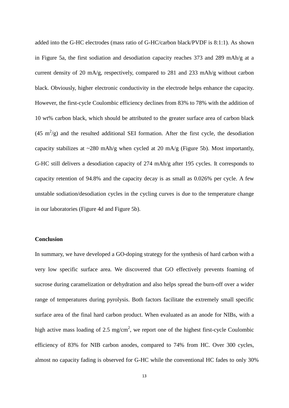added into the G-HC electrodes (mass ratio of G-HC/carbon black/PVDF is 8:1:1). As shown in Figure 5a, the first sodiation and desodiation capacity reaches 373 and 289 mAh/g at a current density of 20 mA/g, respectively, compared to 281 and 233 mAh/g without carbon black. Obviously, higher electronic conductivity in the electrode helps enhance the capacity. However, the first-cycle Coulombic efficiency declines from 83% to 78% with the addition of 10 wt% carbon black, which should be attributed to the greater surface area of carbon black (45 m<sup>2</sup>/g) and the resulted additional SEI formation. After the first cycle, the desodiation capacity stabilizes at  $\sim$ 280 mAh/g when cycled at 20 mA/g (Figure 5b). Most importantly, G-HC still delivers a desodiation capacity of 274 mAh/g after 195 cycles. It corresponds to capacity retention of 94.8% and the capacity decay is as small as 0.026% per cycle. A few unstable sodiation/desodiation cycles in the cycling curves is due to the temperature change in our laboratories (Figure 4d and Figure 5b).

#### **Conclusion**

In summary, we have developed a GO-doping strategy for the synthesis of hard carbon with a very low specific surface area. We discovered that GO effectively prevents foaming of sucrose during caramelization or dehydration and also helps spread the burn-off over a wider range of temperatures during pyrolysis. Both factors facilitate the extremely small specific surface area of the final hard carbon product. When evaluated as an anode for NIBs, with a high active mass loading of 2.5 mg/cm<sup>2</sup>, we report one of the highest first-cycle Coulombic efficiency of 83% for NIB carbon anodes, compared to 74% from HC. Over 300 cycles, almost no capacity fading is observed for G-HC while the conventional HC fades to only 30%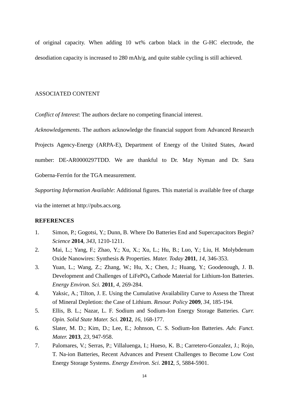of original capacity. When adding 10 wt% carbon black in the G-HC electrode, the desodiation capacity is increased to 280 mAh/g, and quite stable cycling is still achieved.

#### ASSOCIATED CONTENT

*Conflict of Interest*: The authors declare no competing financial interest.

*Acknowledgements*. The authors acknowledge the financial support from Advanced Research Projects Agency-Energy (ARPA-E), Department of Energy of the United States, Award number: DE-AR0000297TDD. We are thankful to Dr. May Nyman and Dr. Sara Goberna-Ferrón for the TGA measurement.

*Supporting Information Available*: Additional figures. This material is available free of charge via the internet at http://pubs.acs.org.

#### **REFERENCES**

- 1. Simon, P.; Gogotsi, Y.; Dunn, B. Where Do Batteries End and Supercapacitors Begin? *Science* **2014**, *343*, 1210-1211.
- 2. Mai, L.; Yang, F.; Zhao, Y.; Xu, X.; Xu, L.; Hu, B.; Luo, Y.; Liu, H. Molybdenum Oxide Nanowires: Synthesis & Properties. *Mater. Today* **2011**, *14*, 346-353.
- 3. Yuan, L.; Wang, Z.; Zhang, W.; Hu, X.; Chen, J.; Huang, Y.; Goodenough, J. B. Development and Challenges of LiFePO<sub>4</sub> Cathode Material for Lithium-Ion Batteries. *Energy Environ. Sci.* **2011**, *4*, 269-284.
- 4. Yaksic, A.; Tilton, J. E. Using the Cumulative Availability Curve to Assess the Threat of Mineral Depletion: the Case of Lithium. *Resour. Policy* **2009**, *34*, 185-194.
- 5. Ellis, B. L.; Nazar, L. F. Sodium and Sodium-Ion Energy Storage Batteries. *Curr. Opin. Solid State Mater. Sci.* **2012**, *16*, 168-177.
- 6. Slater, M. D.; Kim, D.; Lee, E.; Johnson, C. S. Sodium-Ion Batteries. *Adv. Funct. Mater.* **2013**, *23*, 947-958.
- 7. Palomares, V.; Serras, P.; Villaluenga, I.; Hueso, K. B.; Carretero-Gonzalez, J.; Rojo, T. Na-ion Batteries, Recent Advances and Present Challenges to Become Low Cost Energy Storage Systems. *Energy Environ. Sci.* **2012**, *5*, 5884-5901.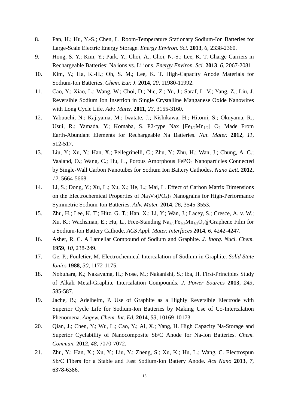- 8. Pan, H.; Hu, Y.-S.; Chen, L. Room-Temperature Stationary Sodium-Ion Batteries for Large-Scale Electric Energy Storage. *Energy Environ. Sci.* **2013**, *6*, 2338-2360.
- 9. Hong, S. Y.; Kim, Y.; Park, Y.; Choi, A.; Choi, N.-S.; Lee, K. T. Charge Carriers in Rechargeable Batteries: Na ions vs. Li ions. *Energy Environ. Sci.* **2013**, *6*, 2067-2081.
- 10. Kim, Y.; Ha, K.-H.; Oh, S. M.; Lee, K. T. High-Capacity Anode Materials for Sodium-Ion Batteries. *Chem. Eur. J.* **2014**, *20*, 11980-11992.
- 11. Cao, Y.; Xiao, L.; Wang, W.; Choi, D.; Nie, Z.; Yu, J.; Saraf, L. V.; Yang, Z.; Liu, J. Reversible Sodium Ion Insertion in Single Crystalline Manganese Oxide Nanowires with Long Cycle Life. *Adv. Mater.* **2011**, *23*, 3155-3160.
- 12. Yabuuchi, N.; Kajiyama, M.; Iwatate, J.; Nishikawa, H.; Hitomi, S.; Okuyama, R.; Usui, R.; Yamada, Y.; Komaba, S. P2-type Nax  $[Fe_{1/2}Mn_{1/2}]$  O<sub>2</sub> Made From Earth-Abundant Elements for Rechargeable Na Batteries. *Nat. Mater.* **2012**, *11*, 512-517.
- 13. Liu, Y.; Xu, Y.; Han, X.; Pellegrinelli, C.; Zhu, Y.; Zhu, H.; Wan, J.; Chung, A. C.; Vaaland, O.; Wang, C.; Hu, L., Porous Amorphous FePO<sub>4</sub> Nanoparticles Connected by Single-Wall Carbon Nanotubes for Sodium Ion Battery Cathodes. *Nano Lett.* **2012**, *12*, 5664-5668.
- 14. Li, S.; Dong, Y.; Xu, L.; Xu, X.; He, L.; Mai, L. Effect of Carbon Matrix Dimensions on the Electrochemical Properties of  $Na_3V_2(PO_4)$ <sub>3</sub> Nanograins for High-Performance Symmetric Sodium-Ion Batteries. *Adv. Mater.* **2014**, *26*, 3545-3553.
- 15. Zhu, H.; Lee, K. T.; Hitz, G. T.; Han, X.; Li, Y.; Wan, J.; Lacey, S.; Cresce, A. v. W.; Xu, K.; Wachsman, E.; Hu, L., Free-Standing  $Na<sub>2/3</sub>Fe<sub>1/2</sub>Mn<sub>1/2</sub>O<sub>2</sub>@Graphene Film for$ a Sodium-Ion Battery Cathode. *ACS Appl. Mater. Interfaces* **2014**, *6*, 4242-4247.
- 16. Asher, R. C. A Lamellar Compound of Sodium and Graphite. *J. Inorg. Nucl. Chem.* **1959**, *10*, 238-249.
- 17. Ge, P.; Fouletier, M. Electrochemical Intercalation of Sodium in Graphite. *Solid State Ionics* **1988**, *30*, 1172-1175.
- 18. Nobuhara, K.; Nakayama, H.; Nose, M.; Nakanishi, S.; Iba, H. First-Principles Study of Alkali Metal-Graphite Intercalation Compounds. *J. Power Sources* **2013**, *243*, 585-587.
- 19. Jache, B.; Adelhelm, P. Use of Graphite as a Highly Reversible Electrode with Superior Cycle Life for Sodium-Ion Batteries by Making Use of Co-Intercalation Phenomena. *Angew. Chem. Int. Ed.* **2014**, *53*, 10169-10173.
- 20. Oian, J.; Chen, Y.; Wu, L.; Cao, Y.; Ai, X.; Yang, H. High Capacity Na-Storage and Superior Cyclability of Nanocomposite Sb/C Anode for Na-Ion Batteries. *Chem. Commun.* **2012**, *48*, 7070-7072.
- 21. Zhu, Y.; Han, X.; Xu, Y.; Liu, Y.; Zheng, S.; Xu, K.; Hu, L.; Wang, C. Electrospun Sb/C Fibers for a Stable and Fast Sodium-Ion Battery Anode. *Acs Nano* **2013**, *7*, 6378-6386.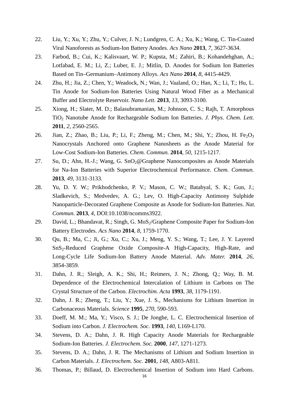- 22. Liu, Y.; Xu, Y.; Zhu, Y.; Culver, J. N.; Lundgren, C. A.; Xu, K.; Wang, C. Tin-Coated Viral Nanoforests as Sodium-Ion Battery Anodes. *Acs Nano* **2013**, *7*, 3627-3634.
- 23. Farbod, B.; Cui, K.; Kalisvaart, W. P.; Kupsta, M.; Zahiri, B.; Kohandehghan, A.; Lotfabad, E. M.; Li, Z.; Luber, E. J.; Mitlin, D. Anodes for Sodium Ion Batteries Based on Tin–Germanium–Antimony Alloys. *Acs Nano* **2014**, *8*, 4415-4429.
- 24. Zhu, H.; Jia, Z.; Chen, Y.; Weadock, N.; Wan, J.; Vaaland, O.; Han, X.; Li, T.; Hu, L. Tin Anode for Sodium-Ion Batteries Using Natural Wood Fiber as a Mechanical Buffer and Electrolyte Reservoir. *Nano Lett.* **2013**, *13*, 3093-3100.
- 25. Xiong, H.; Slater, M. D.; Balasubramanian, M.; Johnson, C. S.; Rajh, T. Amorphous TiO2 Nanotube Anode for Rechargeable Sodium Ion Batteries. *J. Phys. Chem. Lett.*  **2011**, *2*, 2560-2565.
- 26. Jian, Z.; Zhao, B.; Liu, P.; Li, F.; Zheng, M.; Chen, M.; Shi, Y.; Zhou, H. Fe<sub>2</sub>O<sub>3</sub> Nanocrystals Anchored onto Graphene Nanosheets as the Anode Material for Low-Cost Sodium-Ion Batteries. *Chem. Commun.* **2014**, *50*, 1215-1217.
- 27. Su, D.; Ahn, H.-J.; Wang, G. SnO<sub>2</sub>@Graphene Nanocomposites as Anode Materials for Na-Ion Batteries with Superior Electrochemical Performance. *Chem. Commun.* **2013**, *49*, 3131-3133.
- 28. Yu, D. Y. W.; Prikhodchenko, P. V.; Mason, C. W.; Batabyal, S. K.; Gun, J.; Sladkevich, S.; Medvedev, A. G.; Lev, O. High-Capacity Antimony Sulphide Nanoparticle-Decorated Graphene Composite as Anode for Sodium-Ion Batteries. *Nat. Commun.* **2013**, *4*, DOI:10.1038/ncomms3922.
- 29. David, L.; Bhandavat, R.; Singh, G. MoS<sub>2</sub>/Graphene Composite Paper for Sodium-Ion Battery Electrodes. *Acs Nano* **2014**, *8*, 1759-1770.
- 30. Qu, B.; Ma, C.; Ji, G.; Xu, C.; Xu, J.; Meng, Y. S.; Wang, T.; Lee, J. Y. Layered SnS2-Reduced Graphene Oxide Composite-A High-Capacity, High-Rate, and Long-Cycle Life Sodium-Ion Battery Anode Material. *Adv. Mater.* **2014**, *26*, 3854-3859.
- 31. Dahn, J. R.; Sleigh, A. K.; Shi, H.; Reimers, J. N.; Zhong, Q.; Way, B. M. Dependence of the Electrochemical Intercalation of Lithium in Carbons on The Crystal Structure of the Carbon. *Electrochim. Acta* **1993**, *38*, 1179-1191.
- 32. Dahn, J. R.; Zheng, T.; Liu, Y.; Xue, J. S., Mechanisms for Lithium Insertion in Carbonaceous Materials. *Science* **1995**, *270*, 590-593.
- 33. Doeff, M. M.; Ma, Y.; Visco, S. J.; De Jonghe, L. C. Electrochemical Insertion of Sodium into Carbon. *J. Electrochem. Soc.* **1993**, *140*, L169-L170.
- 34. Stevens, D. A.; Dahn, J. R. High Capacity Anode Materials for Rechargeable Sodium-Ion Batteries. *J. Electrochem. Soc.* **2000**, *147*, 1271-1273.
- 35. Stevens, D. A.; Dahn, J. R. The Mechanisms of Lithium and Sodium Insertion in Carbon Materials. *J. Electrochem. Soc.* **2001**, *148*, A803-A811.
- 36. Thomas, P.; Billaud, D. Electrochemical Insertion of Sodium into Hard Carbons.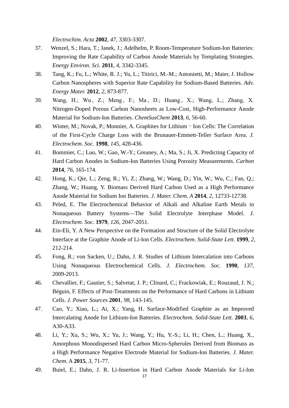*Electrochim. Acta* **2002**, *47*, 3303-3307.

- 37. Wenzel, S.; Hara, T.; Janek, J.; Adelhelm, P. Room-Temperature Sodium-Ion Batteries: Improving the Rate Capability of Carbon Anode Materials by Templating Strategies. *Energy Environ. Sci.* **2011**, *4*, 3342-3345.
- 38. Tang, K.; Fu, L.; White, R. J.; Yu, L.; Titirici, M.-M.; Antonietti, M.; Maier, J. Hollow Carbon Nanospheres with Superior Rate Capability for Sodium-Based Batteries. *Adv. Energy Mater.* **2012**, *2*, 873-877.
- 39. Wang, H.; Wu , Z.; Meng , F.; Ma , D.; Huang , X.; Wang, L.; Zhang, X. Nitrogen-Doped Porous Carbon Nanosheets as Low-Cost, High-Performance Anode Material for Sodium-Ion Batteries. *ChemSusChem* **2013**, *6*, 56-60.
- 40. Winter, M.; Novak, P.; Monnier, A. Graphites for Lithium Ion Cells: The Correlation of the First-Cycle Charge Loss with the Brunauer-Emmett-Teller Surface Area. *J. Electrochem. Soc.* **1998**, *145*, 428-436.
- 41. Bommier, C.; Luo, W.; Gao, W.-Y.; Greaney, A.; Ma, S.; Ji, X. Predicting Capacity of Hard Carbon Anodes in Sodium-Ion Batteries Using Porosity Measurements. *Carbon* **2014**, *76*, 165-174.
- 42. Hong, K.; Qie, L.; Zeng, R.; Yi, Z.; Zhang, W.; Wang, D.; Yin, W.; Wu, C.; Fan, Q.; Zhang, W.; Huang, Y. Biomass Derived Hard Carbon Used as a High Performance Anode Material for Sodium Ion Batteries. *J. Mater. Chem. A* **2014**, *2*, 12733-12738.
- 43. Peled, E. The Electrochemical Behavior of Alkali and Alkaline Earth Metals in Nonaqueous Battery Systems—The Solid Electrolyte Interphase Model. *J. Electrochem. Soc.* **1979**, *126*, 2047-2051.
- 44. Ein-Eli, Y. A New Perspective on the Formation and Structure of the Solid Electrolyte Interface at the Graphite Anode of Li-Ion Cells. *Electrochem. Solid-State Lett.* **1999**, *2*, 212-214.
- 45. Fong, R.; von Sacken, U.; Dahn, J. R. Studies of Lithium Intercalation into Carbons Using Nonaqueous Electrochemical Cells. *J. Electrochem. Soc.* **1990**, *137*, 2009-2013.
- 46. Chevallier, F.; Gautier, S.; Salvetat, J. P.; Clinard, C.; Frackowiak, E.; Rouzaud, J. N.; Béguin, F. Effects of Post-Treatments on the Performance of Hard Carbons in Lithium Cells. *J. Power Sources* **2001**, *98*, 143-145.
- 47. Cao, Y.; Xiao, L.; Ai, X.; Yang, H. Surface-Modified Graphite as an Improved Intercalating Anode for Lithium-Ion Batteries. *Electrochem. Solid-State Lett.* **2003**, *6*, A30-A33.
- 48. Li, Y.; Xu, S.; Wu, X.; Yu, J.; Wang, Y.; Hu, Y.-S.; Li, H.; Chen, L.; Huang, X., Amorphous Monodispersed Hard Carbon Micro-Spherules Derived from Biomass as a High Performance Negative Electrode Material for Sodium-Ion Batteries. *J. Mater. Chem.* A **2015**, *3*, 71-77.
- 49. Buiel, E.; Dahn, J. R. Li-Insertion in Hard Carbon Anode Materials for Li-Ion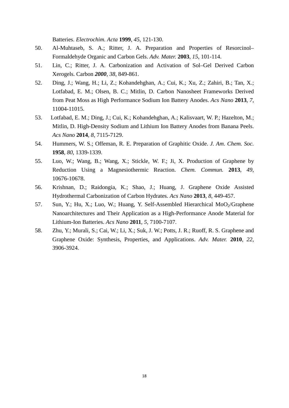Batteries. *Electrochim. Acta* **1999**, *45*, 121-130.

- 50. Al-Muhtaseb, S. A.; Ritter, J. A. Preparation and Properties of Resorcinol– Formaldehyde Organic and Carbon Gels. *Adv. Mater.* **2003**, *15*, 101-114.
- 51. Lin, C.; Ritter, J. A. Carbonization and Activation of Sol–Gel Derived Carbon Xerogels. Carbon *2000*, *38*, 849-861.
- 52. Ding, J.; Wang, H.; Li, Z.; Kohandehghan, A.; Cui, K.; Xu, Z.; Zahiri, B.; Tan, X.; Lotfabad, E. M.; Olsen, B. C.; Mitlin, D. Carbon Nanosheet Frameworks Derived from Peat Moss as High Performance Sodium Ion Battery Anodes. *Acs Nano* **2013**, *7*, 11004-11015.
- 53. Lotfabad, E. M.; Ding, J.; Cui, K.; Kohandehghan, A.; Kalisvaart, W. P.; Hazelton, M.; Mitlin, D. High-Density Sodium and Lithium Ion Battery Anodes from Banana Peels. *Acs Nano* **2014**, *8*, 7115-7129.
- 54. Hummers, W. S.; Offeman, R. E. Preparation of Graphitic Oxide. *J. Am. Chem. Soc.*  **1958**, *80*, 1339-1339.
- 55. Luo, W.; Wang, B.; Wang, X.; Stickle, W. F.; Ji, X. Production of Graphene by Reduction Using a Magnesiothermic Reaction. *Chem. Commun.* **2013**, *49*, 10676-10678.
- 56. Krishnan, D.; Raidongia, K.; Shao, J.; Huang, J. Graphene Oxide Assisted Hydrothermal Carbonization of Carbon Hydrates. *Acs Nano* **2013**, *8*, 449-457.
- 57. Sun, Y.; Hu, X.; Luo, W.; Huang, Y. Self-Assembled Hierarchical MoO<sub>2</sub>/Graphene Nanoarchitectures and Their Application as a High-Performance Anode Material for Lithium-Ion Batteries. *Acs Nano* **2011**, *5*, 7100-7107.
- 58. Zhu, Y.; Murali, S.; Cai, W.; Li, X.; Suk, J. W.; Potts, J. R.; Ruoff, R. S. Graphene and Graphene Oxide: Synthesis, Properties, and Applications. *Adv. Mater.* **2010**, *22*, 3906-3924.